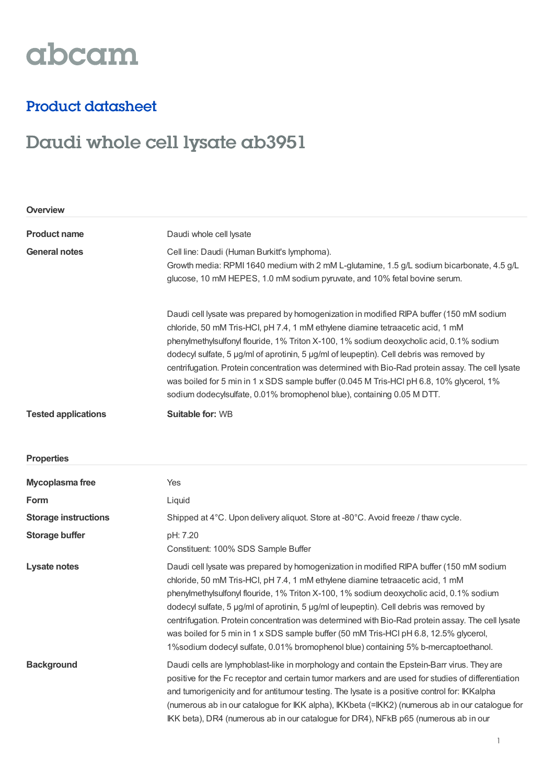# abcam

### Product datasheet

## Daudi whole cell lysate ab3951

| Overview                    |                                                                                                                                                                                                                                                                                                                                                                                                                                                                                                                                                                                                                                                     |  |
|-----------------------------|-----------------------------------------------------------------------------------------------------------------------------------------------------------------------------------------------------------------------------------------------------------------------------------------------------------------------------------------------------------------------------------------------------------------------------------------------------------------------------------------------------------------------------------------------------------------------------------------------------------------------------------------------------|--|
| <b>Product name</b>         | Daudi whole cell lysate                                                                                                                                                                                                                                                                                                                                                                                                                                                                                                                                                                                                                             |  |
| <b>General notes</b>        | Cell line: Daudi (Human Burkitt's lymphoma).<br>Growth media: RPMI 1640 medium with 2 mM L-glutamine, 1.5 g/L sodium bicarbonate, 4.5 g/L<br>glucose, 10 mM HEPES, 1.0 mM sodium pyruvate, and 10% fetal bovine serum.                                                                                                                                                                                                                                                                                                                                                                                                                              |  |
|                             | Daudi cell lysate was prepared by homogenization in modified RIPA buffer (150 mM sodium<br>chloride, 50 mM Tris-HCl, pH 7.4, 1 mM ethylene diamine tetraacetic acid, 1 mM<br>phenylmethylsulfonyl flouride, 1% Triton X-100, 1% sodium deoxycholic acid, 0.1% sodium<br>dodecyl sulfate, 5 µg/ml of aprotinin, 5 µg/ml of leupeptin). Cell debris was removed by<br>centrifugation. Protein concentration was determined with Bio-Rad protein assay. The cell lysate<br>was boiled for 5 min in 1 x SDS sample buffer (0.045 M Tris-HCl pH 6.8, 10% glycerol, 1%<br>sodium dodecylsulfate, 0.01% bromophenol blue), containing 0.05 M DTT.          |  |
| <b>Tested applications</b>  | <b>Suitable for: WB</b>                                                                                                                                                                                                                                                                                                                                                                                                                                                                                                                                                                                                                             |  |
| <b>Properties</b>           |                                                                                                                                                                                                                                                                                                                                                                                                                                                                                                                                                                                                                                                     |  |
| Mycoplasma free             | Yes                                                                                                                                                                                                                                                                                                                                                                                                                                                                                                                                                                                                                                                 |  |
| Form                        | Liquid                                                                                                                                                                                                                                                                                                                                                                                                                                                                                                                                                                                                                                              |  |
| <b>Storage instructions</b> | Shipped at 4°C. Upon delivery aliquot. Store at -80°C. Avoid freeze / thaw cycle.                                                                                                                                                                                                                                                                                                                                                                                                                                                                                                                                                                   |  |
| <b>Storage buffer</b>       | pH: 7.20<br>Constituent: 100% SDS Sample Buffer                                                                                                                                                                                                                                                                                                                                                                                                                                                                                                                                                                                                     |  |
| Lysate notes                | Daudi cell lysate was prepared by homogenization in modified RIPA buffer (150 mM sodium<br>chloride, 50 mM Tris-HCl, pH 7.4, 1 mM ethylene diamine tetraacetic acid, 1 mM<br>phenylmethylsulfonyl flouride, 1% Triton X-100, 1% sodium deoxycholic acid, 0.1% sodium<br>dodecyl sulfate, 5 µg/ml of aprotinin, 5 µg/ml of leupeptin). Cell debris was removed by<br>centrifugation. Protein concentration was determined with Bio-Rad protein assay. The cell lysate<br>was boiled for 5 min in 1 x SDS sample buffer (50 mM Tris-HCl pH 6.8, 12.5% glycerol,<br>1%sodium dodecyl sulfate, 0.01% bromophenol blue) containing 5% b-mercaptoethanol. |  |
| <b>Background</b>           | Daudi cells are lymphoblast-like in morphology and contain the Epstein-Barr virus. They are<br>positive for the Fc receptor and certain tumor markers and are used for studies of differentiation<br>and tumorigenicity and for antitumour testing. The lysate is a positive control for: IKKalpha<br>(numerous ab in our catalogue for IKK alpha), IKKbeta (=IKK2) (numerous ab in our catalogue for<br>IKK beta), DR4 (numerous ab in our catalogue for DR4), NFkB p65 (numerous ab in our                                                                                                                                                        |  |